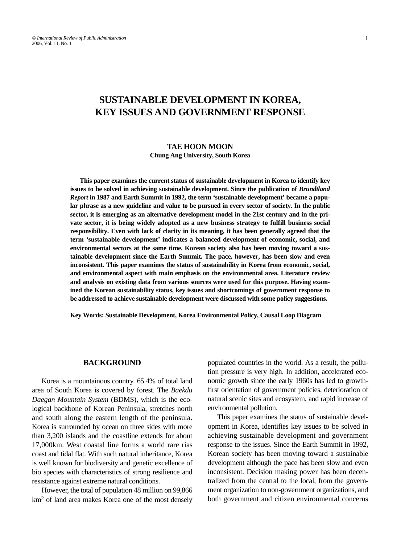# **SUSTAINABLE DEVELOPMENT IN KOREA, KEY ISSUES AND GOVERNMENT RESPONSE**

#### **TAE HOON MOON**

**Chung Ang University, South Korea**

**This paper examines the current status of sustainable development in Korea to identify key issues to be solved in achieving sustainable development. Since the publication of** *Brundtland Report* **in 1987 and Earth Summit in 1992, the term 'sustainable development' became a popular phrase as a new guideline and value to be pursued in every sector of society. In the public sector, it is emerging as an alternative development model in the 21st century and in the private sector, it is being widely adopted as a new business strategy to fulfill business social responsibility. Even with lack of clarity in its meaning, it has been generally agreed that the term 'sustainable development' indicates a balanced development of economic, social, and environmental sectors at the same time. Korean society also has been moving toward a sustainable development since the Earth Summit. The pace, however, has been slow and even inconsistent. This paper examines the status of sustainability in Korea from economic, social, and environmental aspect with main emphasis on the environmental area. Literature review and analysis on existing data from various sources were used for this purpose. Having examined the Korean sustainability status, key issues and shortcomings of government response to be addressed to achieve sustainable development were discussed with some policy suggestions.**

**Key Words: Sustainable Development, Korea Environmental Policy, Causal Loop Diagram**

#### **BACKGROUND**

Korea is a mountainous country. 65.4% of total land area of South Korea is covered by forest. The *Baekdu Daegan Mountain System* (BDMS), which is the ecological backbone of Korean Peninsula, stretches north and south along the eastern length of the peninsula. Korea is surrounded by ocean on three sides with more than 3,200 islands and the coastline extends for about 17,000km. West coastal line forms a world rare rias coast and tidal flat. With such natural inheritance, Korea is well known for biodiversity and genetic excellence of bio species with characteristics of strong resilience and resistance against extreme natural conditions.

However, the total of population 48 million on 99,866 km2 of land area makes Korea one of the most densely

populated countries in the world. As a result, the pollution pressure is very high. In addition, accelerated economic growth since the early 1960s has led to growthfirst orientation of government policies, deterioration of natural scenic sites and ecosystem, and rapid increase of environmental pollution.

This paper examines the status of sustainable development in Korea, identifies key issues to be solved in achieving sustainable development and government response to the issues. Since the Earth Summit in 1992, Korean society has been moving toward a sustainable development although the pace has been slow and even inconsistent. Decision making power has been decentralized from the central to the local, from the government organization to non-government organizations, and both government and citizen environmental concerns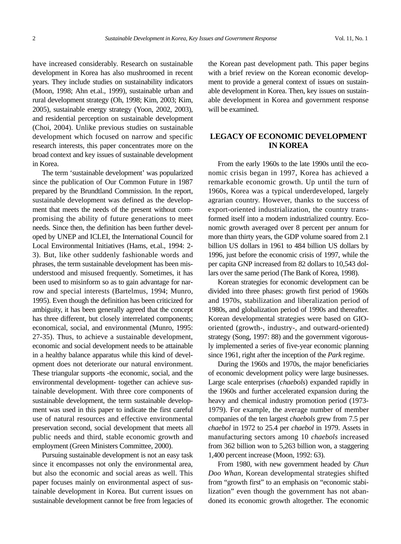have increased considerably. Research on sustainable development in Korea has also mushroomed in recent years. They include studies on sustainability indicators (Moon, 1998; Ahn et.al., 1999), sustainable urban and rural development strategy (Oh, 1998; Kim, 2003; Kim, 2005), sustainable energy strategy (Yoon, 2002, 2003), and residential perception on sustainable development (Choi, 2004). Unlike previous studies on sustainable development which focused on narrow and specific research interests, this paper concentrates more on the broad context and key issues of sustainable development in Korea.

The term 'sustainable development' was popularized since the publication of Our Common Future in 1987 prepared by the Brundtland Commission. In the report, sustainable development was defined as the development that meets the needs of the present without compromising the ability of future generations to meet needs. Since then, the definition has been further developed by UNEP and ICLEI, the International Council for Local Environmental Initiatives (Hams, et.al., 1994: 2- 3). But, like other suddenly fashionable words and phrases, the term sustainable development has been misunderstood and misused frequently. Sometimes, it has been used to misinform so as to gain advantage for narrow and special interests (Bartelmus, 1994; Munro, 1995). Even though the definition has been criticized for ambiguity, it has been generally agreed that the concept has three different, but closely interrelated components; economical, social, and environmental (Munro, 1995: 27-35). Thus, to achieve a sustainable development, economic and social development needs to be attainable in a healthy balance apparatus while this kind of development does not deteriorate our natural environment. These triangular supports -the economic, social, and the environmental development- together can achieve sustainable development. With three core components of sustainable development, the term sustainable development was used in this paper to indicate the first careful use of natural resources and effective environmental preservation second, social development that meets all public needs and third, stable economic growth and employment (Green Ministers Committee, 2000).

Pursuing sustainable development is not an easy task since it encompasses not only the environmental area, but also the economic and social areas as well. This paper focuses mainly on environmental aspect of sustainable development in Korea. But current issues on sustainable development cannot be free from legacies of the Korean past development path. This paper begins with a brief review on the Korean economic development to provide a general context of issues on sustainable development in Korea. Then, key issues on sustainable development in Korea and government response will be examined.

# **LEGACY OF ECONOMIC DEVELOPMENT IN KOREA**

From the early 1960s to the late 1990s until the economic crisis began in 1997, Korea has achieved a remarkable economic growth. Up until the turn of 1960s, Korea was a typical underdeveloped, largely agrarian country. However, thanks to the success of export-oriented industrialization, the country transformed itself into a modern industrialized country. Economic growth averaged over 8 percent per annum for more than thirty years, the GDP volume soared from 2.1 billion US dollars in 1961 to 484 billion US dollars by 1996, just before the economic crisis of 1997, while the per capita GNP increased from 82 dollars to 10,543 dollars over the same period (The Bank of Korea, 1998).

Korean strategies for economic development can be divided into three phases: growth first period of 1960s and 1970s, stabilization and liberalization period of 1980s, and globalization period of 1990s and thereafter. Korean developmental strategies were based on GIOoriented (growth-, industry-, and outward-oriented) strategy (Song, 1997: 88) and the government vigorously implemented a series of five-year economic planning since 1961, right after the inception of the *Park* regime.

During the 1960s and 1970s, the major beneficiaries of economic development policy were large businesses. Large scale enterprises (*chaebols*) expanded rapidly in the 1960s and further accelerated expansion during the heavy and chemical industry promotion period (1973- 1979). For example, the average number of member companies of the ten largest *chaebols* grew from 7.5 per *chaebol* in 1972 to 25.4 per *chaebol* in 1979. Assets in manufacturing sectors among 10 *chaebols* increased from 362 billion won to 5,263 billion won, a staggering 1,400 percent increase (Moon, 1992: 63).

From 1980, with new government headed by *Chun Doo Whan*, Korean developmental strategies shifted from "growth first" to an emphasis on "economic stabilization" even though the government has not abandoned its economic growth altogether. The economic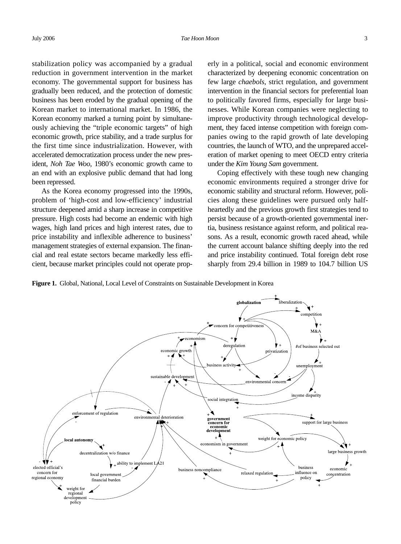stabilization policy was accompanied by a gradual reduction in government intervention in the market economy. The governmental support for business has gradually been reduced, and the protection of domestic business has been eroded by the gradual opening of the Korean market to international market. In 1986, the Korean economy marked a turning point by simultaneously achieving the "triple economic targets" of high economic growth, price stability, and a trade surplus for the first time since industrialization. However, with accelerated democratization process under the new president, *Noh Tae Woo*, 1980's economic growth came to an end with an explosive public demand that had long been repressed.

As the Korea economy progressed into the 1990s, problem of 'high-cost and low-efficiency' industrial structure deepened amid a sharp increase in competitive pressure. High costs had become an endemic with high wages, high land prices and high interest rates, due to price instability and inflexible adherence to business' management strategies of external expansion. The financial and real estate sectors became markedly less efficient, because market principles could not operate properly in a political, social and economic environment characterized by deepening economic concentration on few large *chaebols*, strict regulation, and government intervention in the financial sectors for preferential loan to politically favored firms, especially for large businesses. While Korean companies were neglecting to improve productivity through technological development, they faced intense competition with foreign companies owing to the rapid growth of late developing countries, the launch of WTO, and the unprepared acceleration of market opening to meet OECD entry criteria under the *Kim Young Sam* government.

Coping effectively with these tough new changing economic environments required a stronger drive for economic stability and structural reform. However, policies along these guidelines were pursued only halfheartedly and the previous growth first strategies tend to persist because of a growth-oriented governmental inertia, business resistance against reform, and political reasons. As a result, economic growth raced ahead, while the current account balance shifting deeply into the red and price instability continued. Total foreign debt rose sharply from 29.4 billion in 1989 to 104.7 billion US

**Figure 1.** Global, National, Local Level of Constraints on Sustainable Development in Korea

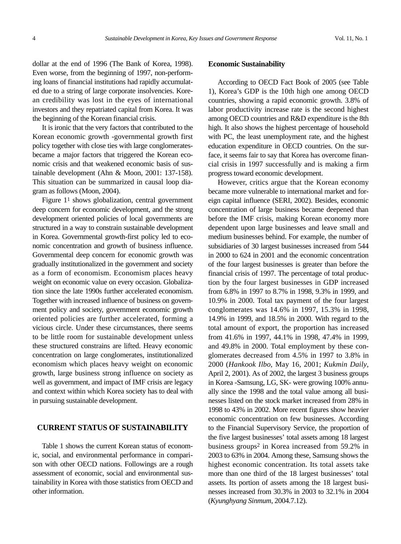dollar at the end of 1996 (The Bank of Korea, 1998). Even worse, from the beginning of 1997, non-performing loans of financial institutions had rapidly accumulated due to a string of large corporate insolvencies. Korean credibility was lost in the eyes of international investors and they repatriated capital from Korea. It was the beginning of the Korean financial crisis.

It is ironic that the very factors that contributed to the Korean economic growth -governmental growth first policy together with close ties with large conglomeratesbecame a major factors that triggered the Korean economic crisis and that weakened economic basis of sustainable development (Ahn & Moon, 2001: 137-158). This situation can be summarized in causal loop diagram as follows (Moon, 2004).

Figure 11 shows globalization, central government deep concern for economic development, and the strong development oriented policies of local governments are structured in a way to constrain sustainable development in Korea. Governmental growth-first policy led to economic concentration and growth of business influence. Governmental deep concern for economic growth was gradually institutionalized in the government and society as a form of economism. Economism places heavy weight on economic value on every occasion. Globalization since the late 1990s further accelerated economism. Together with increased influence of business on government policy and society, government economic growth oriented policies are further accelerated, forming a vicious circle. Under these circumstances, there seems to be little room for sustainable development unless these structured constrains are lifted. Heavy economic concentration on large conglomerates, institutionalized economism which places heavy weight on economic growth, large business strong influence on society as well as government, and impact of IMF crisis are legacy and context within which Korea society has to deal with in pursuing sustainable development.

# **CURRENT STATUS OF SUSTAINABILITY**

Table 1 shows the current Korean status of economic, social, and environmental performance in comparison with other OECD nations. Followings are a rough assessment of economic, social and environmental sustainability in Korea with those statistics from OECD and other information.

#### **Economic Sustainability**

According to OECD Fact Book of 2005 (see Table 1), Korea's GDP is the 10th high one among OECD countries, showing a rapid economic growth. 3.8% of labor productivity increase rate is the second highest among OECD countries and R&D expenditure is the 8th high. It also shows the highest percentage of household with PC, the least unemployment rate, and the highest education expenditure in OECD countries. On the surface, it seems fair to say that Korea has overcome financial crisis in 1997 successfully and is making a firm progress toward economic development.

However, critics argue that the Korean economy became more vulnerable to international market and foreign capital influence (SERI, 2002). Besides, economic concentration of large business became deepened than before the IMF crisis, making Korean economy more dependent upon large businesses and leave small and medium businesses behind. For example, the number of subsidiaries of 30 largest businesses increased from 544 in 2000 to 624 in 2001 and the economic concentration of the four largest businesses is greater than before the financial crisis of 1997. The percentage of total production by the four largest businesses in GDP increased from 6.8% in 1997 to 8.7% in 1998, 9.3% in 1999, and 10.9% in 2000. Total tax payment of the four largest conglomerates was 14.6% in 1997, 15.3% in 1998, 14.9% in 1999, and 18.5% in 2000. With regard to the total amount of export, the proportion has increased from 41.6% in 1997, 44.1% in 1998, 47.4% in 1999, and 49.8% in 2000. Total employment by these conglomerates decreased from 4.5% in 1997 to 3.8% in 2000 (*Hankook Ilbo*, May 16, 2001; *Kukmin Daily*, April 2, 2001). As of 2002, the largest 3 business groups in Korea -Samsung, LG, SK- were growing 100% annually since the 1998 and the total value among all businesses listed on the stock market increased from 28% in 1998 to 43% in 2002. More recent figures show heavier economic concentration on few businesses. According to the Financial Supervisory Service, the proportion of the five largest businesses' total assets among 18 largest business groups2 in Korea increased from 59.2% in 2003 to 63% in 2004. Among these, Samsung shows the highest economic concentration. Its total assets take more than one third of the 18 largest businesses' total assets. Its portion of assets among the 18 largest businesses increased from 30.3% in 2003 to 32.1% in 2004 (*Kyunghyang Sinmum*, 2004.7.12).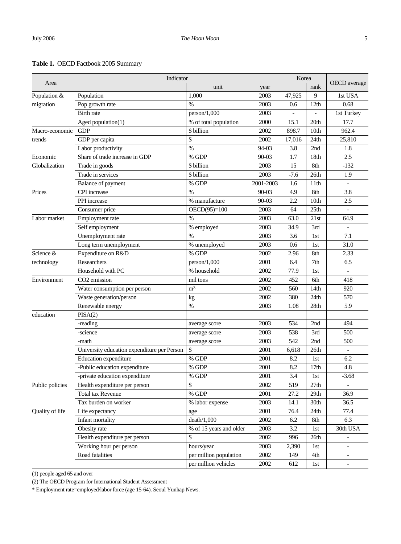| Table 1. OECD Factbook 2005 Summary |
|-------------------------------------|
|                                     |

|                 | Indicator                                   |                         |           | Korea  |                  |                          |
|-----------------|---------------------------------------------|-------------------------|-----------|--------|------------------|--------------------------|
| Area            |                                             | unit                    | year      |        | rank             | OECD average             |
| Population &    | Population                                  | 1,000                   | 2003      | 47,925 | 9                | 1st USA                  |
| migration       | Pop growth rate                             | $\frac{0}{0}$           | 2003      | 0.6    | 12th             | 0.68                     |
|                 | Birth rate                                  | person/1,000            | 2003      |        |                  | 1st Turkey               |
|                 | Aged population(1)                          | % of total population   | 2000      | 15.1   | 20th             | 17.7                     |
| Macro-economic  | <b>GDP</b>                                  | \$ billion              | 2002      | 898.7  | 10th             | 962.4                    |
| trends          | GDP per capita                              | \$                      | 2002      | 17,016 | 24th             | 25,810                   |
|                 | Labor productivity                          | $\%$                    | $94-03$   | 3.8    | 2nd              | 1.8                      |
| Economic        | Share of trade increase in GDP              | % GDP                   | 90-03     | 1.7    | 18th             | 2.5                      |
| Globalization   | Trade in goods                              | \$ billion              | 2003      | 15     | 8th              | $-132$                   |
|                 | Trade in services                           | \$ billion              | 2003      | $-7.6$ | 26th             | 1.9                      |
|                 | Balance of payment                          | % GDP                   | 2001-2003 | 1.6    | 11th             |                          |
| Prices          | CPI increase                                | $\frac{0}{0}$           | 90-03     | 4.9    | 8th              | 3.8                      |
|                 | PPI increase                                | % manufacture           | 90-03     | 2.2    | 10 <sub>th</sub> | 2.5                      |
|                 | Consumer price                              | $OECD(95)=100$          | 2003      | 64     | 25th             |                          |
| Labor market    | Employment rate                             | $\%$                    | 2003      | 63.0   | 21st             | 64.9                     |
|                 | Self employment                             | % employed              | 2003      | 34.9   | 3rd              |                          |
|                 | Unemployment rate                           | $\%$                    | 2003      | 3.6    | 1st              | 7.1                      |
|                 | Long term unemployment                      | % unemployed            | 2003      | 0.6    | 1st              | 31.0                     |
| Science &       | Expenditure on R&D                          | % GDP                   | 2002      | 2.96   | 8th              | 2.33                     |
| technology      | Researchers                                 | person/1,000            | 2001      | 6.4    | 7 <sub>th</sub>  | 6.5                      |
|                 | Household with PC                           | % household             | 2002      | 77.9   | 1st              |                          |
| Environment     | CO <sub>2</sub> emission                    | mil tons                | 2002      | 452    | 6th              | 418                      |
|                 | Water consumption per person                | m <sup>3</sup>          | 2002      | 560    | 14th             | 920                      |
|                 | Waste generation/person                     | kg                      | 2002      | 380    | 24th             | 570                      |
|                 | Renewable energy                            | $\%$                    | 2003      | 1.08   | 28th             | 5.9                      |
| education       | PISA(2)                                     |                         |           |        |                  |                          |
|                 | -reading                                    | average score           | 2003      | 534    | 2nd              | 494                      |
|                 | -science                                    | average score           | 2003      | 538    | 3rd              | 500                      |
|                 | -math                                       | average score           | 2003      | 542    | 2nd              | 500                      |
|                 | University education expenditure per Person | \$                      | 2001      | 6,618  | 26th             |                          |
|                 | Education expenditure                       | % GDP                   | 2001      | 8.2    | 1st              | 6.2                      |
|                 | -Public education expenditure               | % GDP                   | 2001      | 8.2    | 17 <sub>th</sub> | 4.8                      |
|                 | -private education expenditure              | % GDP                   | 2001      | 3.4    | 1st              | $-3.68$                  |
| Public policies | Health expenditure per person               | \$                      | 2002      | 519    | 27th             |                          |
|                 | <b>Total tax Revenue</b>                    | % GDP                   | 2001      | 27.2   | 29th             | 36.9                     |
|                 | Tax burden on worker                        | % labor expense         | 2003      | 14.1   | 30th             | 36.5                     |
| Quality of life | Life expectancy                             | age                     | 2001      | 76.4   | 24th             | 77.4                     |
|                 | Infant mortality                            | death/1,000             | 2002      | 6.2    | 8th              | 6.3                      |
|                 | Obesity rate                                | % of 15 years and older | 2003      | 3.2    | 1st              | 30th USA                 |
|                 | Health expenditure per person               | \$                      | 2002      | 996    | 26th             | $\overline{\phantom{a}}$ |
|                 | Working hour per person                     | hours/year              | 2003      | 2,390  | 1st              | $\qquad \qquad -$        |
|                 | Road fatalities                             | per million population  | 2002      | 149    | 4th              |                          |
|                 |                                             | per million vehicles    | 2002      | 612    | 1st              | $\blacksquare$           |

(1) people aged 65 and over

(2) The OECD Program for International Student Assessment

\* Employment rate=employed/labor force (age 15-64). Seoul Yunhap News.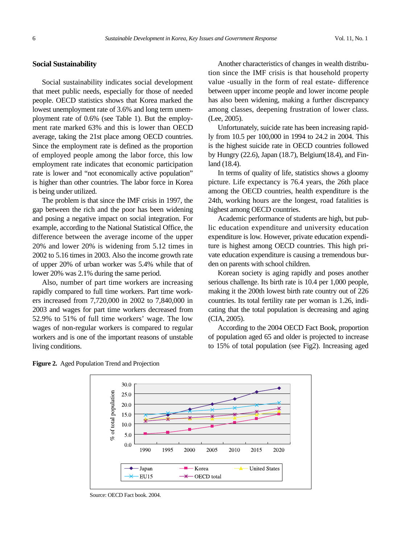## **Social Sustainability**

Social sustainability indicates social development that meet public needs, especially for those of needed people. OECD statistics shows that Korea marked the lowest unemployment rate of 3.6% and long term unemployment rate of 0.6% (see Table 1). But the employment rate marked 63% and this is lower than OECD average, taking the 21st place among OECD countries. Since the employment rate is defined as the proportion of employed people among the labor force, this low employment rate indicates that economic participation rate is lower and "not economically active population" is higher than other countries. The labor force in Korea is being under utilized.

The problem is that since the IMF crisis in 1997, the gap between the rich and the poor has been widening and posing a negative impact on social integration. For example, according to the National Statistical Office, the difference between the average income of the upper 20% and lower 20% is widening from 5.12 times in 2002 to 5.16 times in 2003. Also the income growth rate of upper 20% of urban worker was 5.4% while that of lower 20% was 2.1% during the same period.

Also, number of part time workers are increasing rapidly compared to full time workers. Part time workers increased from 7,720,000 in 2002 to 7,840,000 in 2003 and wages for part time workers decreased from 52.9% to 51% of full time workers' wage. The low wages of non-regular workers is compared to regular workers and is one of the important reasons of unstable living conditions.

Another characteristics of changes in wealth distribution since the IMF crisis is that household property value -usually in the form of real estate- difference between upper income people and lower income people has also been widening, making a further discrepancy among classes, deepening frustration of lower class. (Lee, 2005).

Unfortunately, suicide rate has been increasing rapidly from 10.5 per 100,000 in 1994 to 24.2 in 2004. This is the highest suicide rate in OECD countries followed by Hungry (22.6), Japan (18.7), Belgium(18.4), and Finland (18.4).

In terms of quality of life, statistics shows a gloomy picture. Life expectancy is 76.4 years, the 26th place among the OECD countries, health expenditure is the 24th, working hours are the longest, road fatalities is highest among OECD countries.

Academic performance of students are high, but public education expenditure and university education expenditure is low. However, private education expenditure is highest among OECD countries. This high private education expenditure is causing a tremendous burden on parents with school children.

Korean society is aging rapidly and poses another serious challenge. Its birth rate is 10.4 per 1,000 people, making it the 200th lowest birth rate country out of 226 countries. Its total fertility rate per woman is 1.26, indicating that the total population is decreasing and aging (CIA, 2005).

According to the 2004 OECD Fact Book, proportion of population aged 65 and older is projected to increase to 15% of total population (see Fig2). Increasing aged

**Figure 2.** Aged Population Trend and Projection



Source: OECD Fact book. 2004.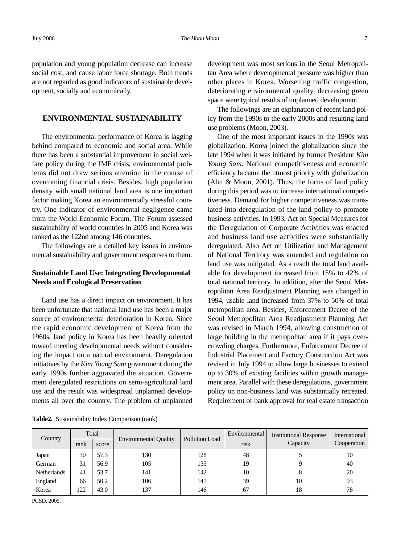population and young population decrease can increase social cost, and cause labor force shortage. Both trends are not regarded as good indicators of sustainable development, socially and economically.

# **ENVIRONMENTAL SUSTAINABILITY**

The environmental performance of Korea is lagging behind compared to economic and social area. While there has been a substantial improvement in social welfare policy during the IMF crisis, environmental problems did not draw serious attention in the course of overcoming financial crisis. Besides, high population density with small national land area is one important factor making Korea an environmentally stressful country. One indicator of environmental negligence came from the World Economic Forum. The Forum assessed sustainability of world countries in 2005 and Korea was ranked as the 122nd among 146 countries.

The followings are a detailed key issues in environmental sustainability and government responses to them.

# **Sustainable Land Use: Integrating Developmental Needs and Ecological Preservation**

Land use has a direct impact on environment. It has been unfortunate that national land use has been a major source of environmental deterioration in Korea. Since the rapid economic development of Korea from the 1960s, land policy in Korea has been heavily oriented toward meeting developmental needs without considering the impact on a natural environment. Deregulation initiatives by the *Kim Young Sam* government during the early 1990s further aggravated the situation. Government deregulated restrictions on semi-agricultural land use and the result was widespread unplanned developments all over the country. The problem of unplanned

development was most serious in the Seoul Metropolitan Area where developmental pressure was higher than other places in Korea. Worsening traffic congestion, deteriorating environmental quality, decreasing green space were typical results of unplanned development.

The followings are an explanation of recent land policy from the 1990s to the early 2000s and resulting land use problems (Moon, 2003).

One of the most important issues in the 1990s was globalization. Korea joined the globalization since the late 1994 when it was initiated by former President *Kim Young Sam*. National competitiveness and economic efficiency became the utmost priority with globalization (Ahn & Moon, 2001). Thus, the focus of land policy during this period was to increase international competitiveness. Demand for higher competitiveness was translated into deregulation of the land policy to promote business activities. In 1993, Act on Special Measures for the Deregulation of Corporate Activities was enacted and business land use activities were substantially deregulated. Also Act on Utilization and Management of National Territory was amended and regulation on land use was mitigated. As a result the total land available for development increased from 15% to 42% of total national territory. In addition, after the Seoul Metropolitan Area Readjustment Planning was changed in 1994, usable land increased from 37% to 50% of total metropolitan area. Besides, Enforcement Decree of the Seoul Metropolitan Area Readjustment Planning Act was revised in March 1994, allowing construction of large building in the metropolitan area if it pays overcrowding charges. Furthermore, Enforcement Decree of Industrial Placement and Factory Construction Act was revised in July 1994 to allow large businesses to extend up to 30% of existing facilities within growth management area. Parallel with these deregulations, government policy on non-business land was substantially retreated. Requirement of bank approval for real estate transaction

|  | Table2. Sustainability Index Comparison (rank) |  |  |  |
|--|------------------------------------------------|--|--|--|
|--|------------------------------------------------|--|--|--|

| Total<br>Country |      |       | <b>Environmental Quality</b> | Pollution Load | Environmental | <b>Institutional Response</b> | International |
|------------------|------|-------|------------------------------|----------------|---------------|-------------------------------|---------------|
|                  | rank | score |                              |                | risk          | Capacity                      | Cooperation   |
| Japan            | 30   | 57.3  | 130                          | 128            | 48            |                               | 10            |
| German           | 31   | 56.9  | 105                          | 135            | 19            |                               | 40            |
| Netherlands      | 41   | 53.7  | 141                          | 142            | 10            |                               | 20            |
| England          | 66   | 50.2  | 106                          | 141            | 39            | 10                            | 93            |
| Korea            | 122  | 43.0  | 137                          | 146            | 67            | 18                            | 78            |

PCSD, 2005.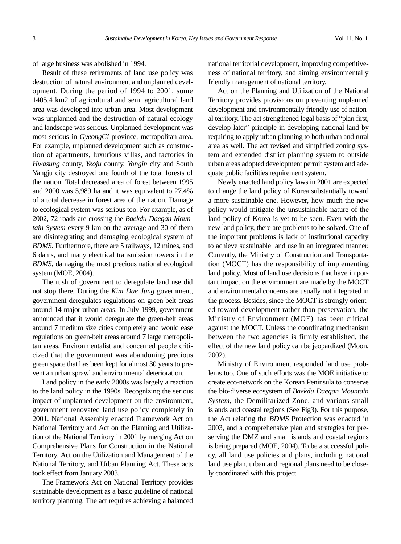of large business was abolished in 1994.

Result of these retirements of land use policy was destruction of natural environment and unplanned development. During the period of 1994 to 2001, some 1405.4 km2 of agricultural and semi agricultural land area was developed into urban area. Most development was unplanned and the destruction of natural ecology and landscape was serious. Unplanned development was most serious in *GyeongGi* province, metropolitan area. For example, unplanned development such as construction of apartments, luxurious villas, and factories in *Hwasung* county, *Yeoju* county, *Yongin* city and South Yangju city destroyed one fourth of the total forests of the nation. Total decreased area of forest between 1995 and 2000 was 5,989 ha and it was equivalent to 27.4% of a total decrease in forest area of the nation. Damage to ecological system was serious too. For example, as of 2002, 72 roads are crossing the *Baekdu Daegan Mountain System* every 9 km on the average and 30 of them are disintegrating and damaging ecological system of *BDMS*. Furthermore, there are 5 railways, 12 mines, and 6 dams, and many electrical transmission towers in the *BDMS*, damaging the most precious national ecological system (MOE, 2004).

The rush of government to deregulate land use did not stop there. During the *Kim Dae Jung* government, government deregulates regulations on green-belt areas around 14 major urban areas. In July 1999, government announced that it would deregulate the green-belt areas around 7 medium size cities completely and would ease regulations on green-belt areas around 7 large metropolitan areas. Environmentalist and concerned people criticized that the government was abandoning precious green space that has been kept for almost 30 years to prevent an urban sprawl and environmental deterioration.

Land policy in the early 2000s was largely a reaction to the land policy in the 1990s. Recognizing the serious impact of unplanned development on the environment, government renovated land use policy completely in 2001. National Assembly enacted Framework Act on National Territory and Act on the Planning and Utilization of the National Territory in 2001 by merging Act on Comprehensive Plans for Construction in the National Territory, Act on the Utilization and Management of the National Territory, and Urban Planning Act. These acts took effect from January 2003.

The Framework Act on National Territory provides sustainable development as a basic guideline of national territory planning. The act requires achieving a balanced national territorial development, improving competitiveness of national territory, and aiming environmentally friendly management of national territory.

Act on the Planning and Utilization of the National Territory provides provisions on preventing unplanned development and environmentally friendly use of national territory. The act strengthened legal basis of "plan first, develop later" principle in developing national land by requiring to apply urban planning to both urban and rural area as well. The act revised and simplified zoning system and extended district planning system to outside urban areas adopted development permit system and adequate public facilities requirement system.

Newly enacted land policy laws in 2001 are expected to change the land policy of Korea substantially toward a more sustainable one. However, how much the new policy would mitigate the unsustainable nature of the land policy of Korea is yet to be seen. Even with the new land policy, there are problems to be solved. One of the important problems is lack of institutional capacity to achieve sustainable land use in an integrated manner. Currently, the Ministry of Construction and Transportation (MOCT) has the responsibility of implementing land policy. Most of land use decisions that have important impact on the environment are made by the MOCT and environmental concerns are usually not integrated in the process. Besides, since the MOCT is strongly oriented toward development rather than preservation, the Ministry of Environment (MOE) has been critical against the MOCT. Unless the coordinating mechanism between the two agencies is firmly established, the effect of the new land policy can be jeopardized (Moon, 2002).

Ministry of Environment responded land use problems too. One of such efforts was the MOE initiative to create eco-network on the Korean Peninsula to conserve the bio-diverse ecosystem of *Baekdu Daegan Mountain System*, the Demilitarized Zone, and various small islands and coastal regions (See Fig3). For this purpose, the Act relating the *BDMS* Protection was enacted in 2003, and a comprehensive plan and strategies for preserving the DMZ and small islands and coastal regions is being prepared (MOE, 2004). To be a successful policy, all land use policies and plans, including national land use plan, urban and regional plans need to be closely coordinated with this project.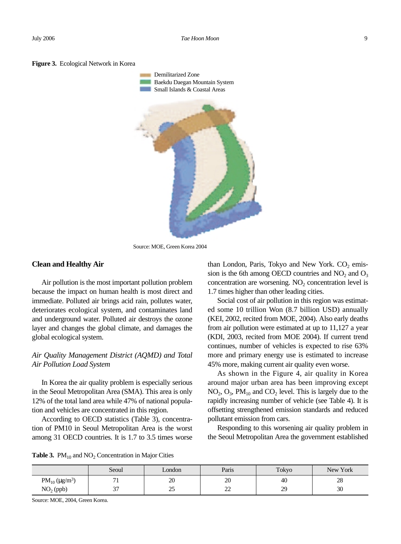#### **Figure 3.** Ecological Network in Korea



Source: MOE, Green Korea 2004

### **Clean and Healthy Air**

Air pollution is the most important pollution problem because the impact on human health is most direct and immediate. Polluted air brings acid rain, pollutes water, deteriorates ecological system, and contaminates land and underground water. Polluted air destroys the ozone layer and changes the global climate, and damages the global ecological system.

# *Air Quality Management District (AQMD) and Total Air Pollution Load System*

In Korea the air quality problem is especially serious in the Seoul Metropolitan Area (SMA). This area is only 12% of the total land area while 47% of national population and vehicles are concentrated in this region.

According to OECD statistics (Table 3), concentration of PM10 in Seoul Metropolitan Area is the worst among 31 OECD countries. It is 1.7 to 3.5 times worse than London, Paris, Tokyo and New York.  $CO<sub>2</sub>$  emission is the 6th among OECD countries and  $NO<sub>2</sub>$  and  $O<sub>3</sub>$ concentration are worsening.  $NO<sub>2</sub>$  concentration level is 1.7 times higher than other leading cities.

Social cost of air pollution in this region was estimated some 10 trillion Won (8.7 billion USD) annually (KEI, 2002, recited from MOE, 2004). Also early deaths from air pollution were estimated at up to 11,127 a year (KDI, 2003, recited from MOE 2004). If current trend continues, number of vehicles is expected to rise 63% more and primary energy use is estimated to increase 45% more, making current air quality even worse.

As shown in the Figure 4, air quality in Korea around major urban area has been improving except  $NO_2$ ,  $O_3$ ,  $PM_{10}$  and  $CO_2$  level. This is largely due to the rapidly increasing number of vehicle (see Table 4). It is offsetting strengthened emission standards and reduced pollutant emission from cars.

Responding to this worsening air quality problem in the Seoul Metropolitan Area the government established

| <b>Table 3.</b> PM <sub>10</sub> and NO <sub>2</sub> Concentration in Major Cities |  |
|------------------------------------------------------------------------------------|--|
|------------------------------------------------------------------------------------|--|

|                       | Seoul       | London        | Paris                              | Tokyo | New York       |
|-----------------------|-------------|---------------|------------------------------------|-------|----------------|
| $PM_{10} (\mu g/m^3)$ |             | 20            | ഹ<br>ZU                            | 40    | ററ<br>$\angle$ |
| $NO2$ (ppb)           | $\sim$<br>ັ | $\sim$<br>ں ر | $\sim$<br>$\overline{\phantom{a}}$ | 29    | 30             |

Source: MOE, 2004, Green Korea.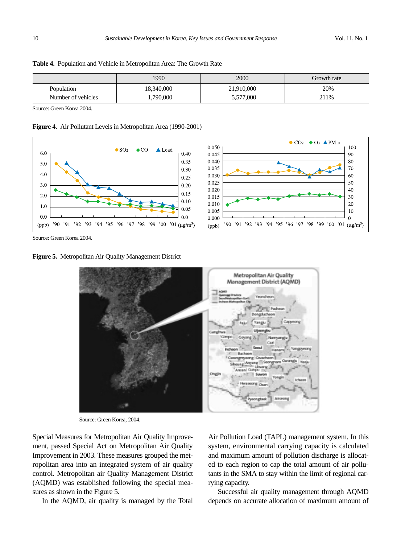|                    | 1990       | 2000       | Growth rate |
|--------------------|------------|------------|-------------|
| Population         | 18,340,000 | 21,910,000 | 20%         |
| Number of vehicles | .790,000   | 5,577,000  | 211%        |

**Table 4.** Population and Vehicle in Metropolitan Area: The Growth Rate

Source: Green Korea 2004.

|  | Figure 4. Air Pollutant Levels in Metropolitan Area (1990-2001) |  |  |  |  |
|--|-----------------------------------------------------------------|--|--|--|--|
|--|-----------------------------------------------------------------|--|--|--|--|



Source: Green Korea 2004.





Source: Green Korea, 2004.

Special Measures for Metropolitan Air Quality Improvement, passed Special Act on Metropolitan Air Quality Improvement in 2003. These measures grouped the metropolitan area into an integrated system of air quality control. Metropolitan air Quality Management District (AQMD) was established following the special measures as shown in the Figure 5.

In the AQMD, air quality is managed by the Total

Air Pollution Load (TAPL) management system. In this system, environmental carrying capacity is calculated and maximum amount of pollution discharge is allocated to each region to cap the total amount of air pollutants in the SMA to stay within the limit of regional carrying capacity.

Successful air quality management through AQMD depends on accurate allocation of maximum amount of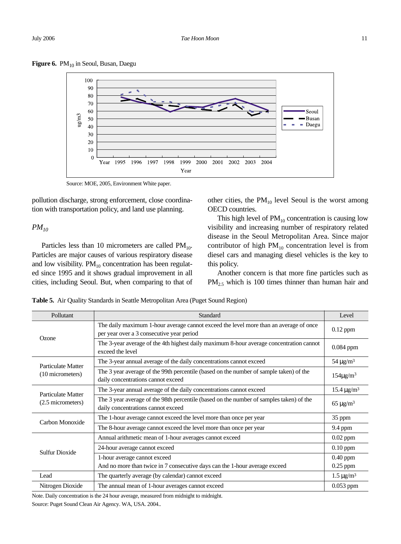

Source: MOE, 2005, Environment White paper.

pollution discharge, strong enforcement, close coordination with transportation policy, and land use planning.

## *PM10*

Particles less than 10 micrometers are called  $PM_{10}$ . Particles are major causes of various respiratory disease and low visibility.  $PM_{10}$  concentration has been regulated since 1995 and it shows gradual improvement in all cities, including Seoul. But, when comparing to that of

other cities, the  $PM_{10}$  level Seoul is the worst among OECD countries.

This high level of  $PM_{10}$  concentration is causing low visibility and increasing number of respiratory related disease in the Seoul Metropolitan Area. Since major contributor of high  $PM_{10}$  concentration level is from diesel cars and managing diesel vehicles is the key to this policy.

Another concern is that more fine particles such as  $PM_{2.5}$  which is 100 times thinner than human hair and

**Table 5.** Air Quality Standards in Seattle Metropolitan Area (Puget Sound Region)

| Pollutant          | Standard                                                                                                                           | Level                       |
|--------------------|------------------------------------------------------------------------------------------------------------------------------------|-----------------------------|
| Ozone              | The daily maximum 1-hour average cannot exceed the level more than an average of once<br>per year over a 3 consecutive year period | $0.12$ ppm                  |
|                    | The 3-year average of the 4th highest daily maximum 8-hour average concentration cannot<br>exceed the level                        | $0.084$ ppm                 |
| Particulate Matter | The 3-year annual average of the daily concentrations cannot exceed                                                                | 54 $\mu$ g/m <sup>3</sup>   |
| (10 micrometers)   | The 3 year average of the 99th percentile (based on the number of sample taken) of the<br>daily concentrations cannot exceed       | $154\mu g/m^3$              |
| Particulate Matter | The 3-year annual average of the daily concentrations cannot exceed                                                                | $15.4 \,\mathrm{\mu g/m^3}$ |
| (2.5 micrometers)  | The 3 year average of the 98th percentile (based on the number of samples taken) of the<br>daily concentrations cannot exceed      | $65 \mu g/m^3$              |
| Carbon Monoxide    | The 1-hour average cannot exceed the level more than once per year                                                                 | 35 ppm                      |
|                    | The 8-hour average cannot exceed the level more than once per year                                                                 | 9.4 ppm                     |
|                    | Annual arithmetic mean of 1-hour averages cannot exceed                                                                            | $0.02$ ppm                  |
| Sulfur Dioxide     | 24-hour average cannot exceed                                                                                                      | $0.10$ ppm                  |
|                    | 1-hour average cannot exceed                                                                                                       | $0.40$ ppm                  |
|                    | And no more than twice in 7 consecutive days can the 1-hour average exceed                                                         | $0.25$ ppm                  |
| Lead               | The quarterly average (by calendar) cannot exceed                                                                                  | $1.5 \,\mathrm{\mu g/m^3}$  |
| Nitrogen Dioxide   | The annual mean of 1-hour averages cannot exceed                                                                                   | $0.053$ ppm                 |

Note. Daily concentration is the 24 hour average, measured from midnight to midnight. Source: Puget Sound Clean Air Agency. WA, USA. 2004..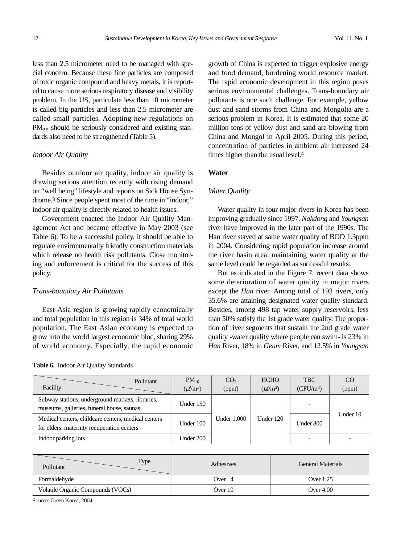less than 2.5 micrometer need to be managed with special concern. Because these fine particles are composed of toxic organic compound and heavy metals, it is reported to cause more serious respiratory disease and visibility problem. In the US, particulate less than 10 micrometer is called big particles and less than 2.5 micrometer are called small particles. Adopting new regulations on  $PM_{2.5}$  should be seriously considered and existing standards also need to be strengthened (Table 5).

## *Indoor Air Quality*

Besides outdoor air quality, indoor air quality is drawing serious attention recently with rising demand on "well being" lifestyle and reports on Sick House Syndrome.3 Since people spent most of the time in "indoor," indoor air quality is directly related to health issues.

Government enacted the Indoor Air Quality Management Act and became effective in May 2003 (see Table 6). To be a successful policy, it should be able to regulate environmentally friendly construction materials which release no health risk pollutants. Close monitoring and enforcement is critical for the success of this policy.

#### *Trans-boundary Air Pollutants*

East Asia region is growing rapidly economically and total population in this region is 34% of total world population. The East Asian economy is expected to grow into the world largest economic bloc, sharing 29% of world economy. Especially, the rapid economic

**Table 6.** Indoor Air Quality Standards

growth of China is expected to trigger explosive energy and food demand, burdening world resource market. The rapid economic development in this region poses serious environmental challenges. Trans-boundary air pollutants is one such challenge. For example, yellow dust and sand storms from China and Mongolia are a serious problem in Korea. It is estimated that some 20 million tons of yellow dust and sand are blowing from China and Mongol in April 2005. During this period, concentration of particles in ambient air increased 24 times higher than the usual level.<sup>4</sup>

#### **Water**

#### *Water Quality*

Water quality in four major rivers in Korea has been improving gradually since 1997. *Nakdong* and *Youngsan* river have improved in the later part of the 1990s. The Han river stayed at same water quality of BOD 1.3ppm in 2004. Considering rapid population increase around the river basin area, maintaining water quality at the same level could be regarded as successful results.

But as indicated in the Figure 7, recent data shows some deterioration of water quality in major rivers except the *Han* river. Among total of 193 rivers, only 35.6% are attaining designated water quality standard. Besides, among 498 tap water supply reservoirs, less than 50% satisfy the 1st grade water quality. The proportion of river segments that sustain the 2nd grade water quality -water quality where people can swim- is 23% in *Han* River, 18% in *Geum* River, and 12.5% in *Youngsan*

| Facility                                                                                          | <b>Pollutant</b> | $PM_{10}$<br>$(\mu l/m^3)$ | CO <sub>2</sub><br>(ppm) | <b>HCHO</b><br>$(\mu l/m^3)$ | <b>TBC</b><br>$(CFU/m^3)$ | <b>CO</b><br>(ppm) |
|---------------------------------------------------------------------------------------------------|------------------|----------------------------|--------------------------|------------------------------|---------------------------|--------------------|
| Subway stations, underground markets, libraries,<br>museums, galleries, funeral house, saunas     |                  | Under 150                  |                          |                              |                           |                    |
| Medical centers, childcare centers, medical centers<br>for elders, maternity recuperation centers |                  | Under 100                  | <b>Under 1,000</b>       | Under 120                    | Under $800$               | Under 10           |
| Indoor parking lots                                                                               |                  | Under 200                  |                          |                              | -                         | -                  |

| Type<br>Pollutant                 | Adhesives | <b>General Materials</b> |
|-----------------------------------|-----------|--------------------------|
| Formaldehyde                      | Over 4    | Over $1.25$              |
| Volatile Organic Compounds (VOCs) | Over 10   | Over $4.00$              |

Source: Green Korea, 2004.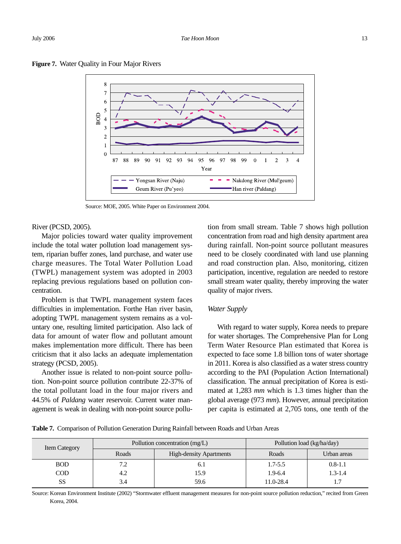

Source: MOE, 2005. White Paper on Environment 2004.

## River (PCSD, 2005).

Major policies toward water quality improvement include the total water pollution load management system, riparian buffer zones, land purchase, and water use charge measures. The Total Water Pollution Load (TWPL) management system was adopted in 2003 replacing previous regulations based on pollution concentration.

Problem is that TWPL management system faces difficulties in implementation. Forthe Han river basin, adopting TWPL management system remains as a voluntary one, resulting limited participation. Also lack of data for amount of water flow and pollutant amount makes implementation more difficult. There has been criticism that it also lacks an adequate implementation strategy (PCSD, 2005).

Another issue is related to non-point source pollution. Non-point source pollution contribute 22-37% of the total pollutant load in the four major rivers and 44.5% of *Paldang* water reservoir. Current water management is weak in dealing with non-point source pollu-

tion from small stream. Table 7 shows high pollution concentration from road and high density apartment area during rainfall. Non-point source pollutant measures need to be closely coordinated with land use planning and road construction plan. Also, monitoring, citizen participation, incentive, regulation are needed to restore small stream water quality, thereby improving the water quality of major rivers.

# *Water Supply*

With regard to water supply, Korea needs to prepare for water shortages. The Comprehensive Plan for Long Term Water Resource Plan estimated that Korea is expected to face some 1.8 billion tons of water shortage in 2011. Korea is also classified as a water stress country according to the PAI (Population Action International) classification. The annual precipitation of Korea is estimated at 1,283 *mm* which is 1.3 times higher than the global average (973 *mm*). However, annual precipitation per capita is estimated at 2,705 tons, one tenth of the

**Table 7.** Comparison of Pollution Generation During Rainfall between Roads and Urban Areas

| <b>Item Category</b> |       | Pollution concentration (mg/L) | Pollution load (kg/ha/day) |             |  |
|----------------------|-------|--------------------------------|----------------------------|-------------|--|
|                      | Roads | <b>High-density Apartments</b> | Roads                      | Urban areas |  |
| <b>BOD</b>           | 7.2   | 6.1                            | $1.7 - 5.5$                | $0.8 - 1.1$ |  |
| <b>COD</b>           | 4.2   | 15.9                           | $1.9 - 6.4$                | $1.3 - 1.4$ |  |
| SS                   | 3.4   | 59.6                           | 11.0-28.4                  | 1.7         |  |

Source: Korean Environment Institute (2002) "Stormwater effluent management measures for non-point source pollution reduction," recited from Green Korea, 2004.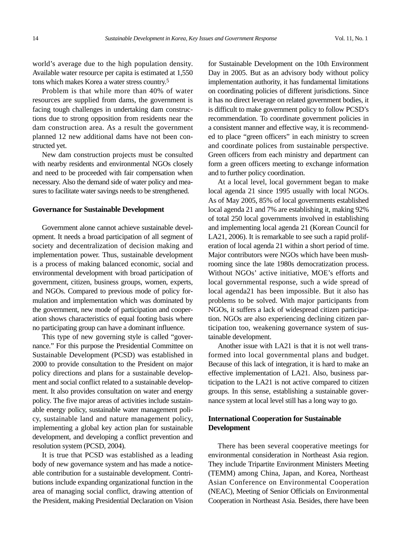world's average due to the high population density. Available water resource per capita is estimated at 1,550 tons which makes Korea a water stress country.5

Problem is that while more than 40% of water resources are supplied from dams, the government is facing tough challenges in undertaking dam constructions due to strong opposition from residents near the dam construction area. As a result the government planned 12 new additional dams have not been constructed yet.

New dam construction projects must be consulted with nearby residents and environmental NGOs closely and need to be proceeded with fair compensation when necessary. Also the demand side of water policy and measures to facilitate water savings needs to be strengthened.

## **Governance for Sustainable Development**

Government alone cannot achieve sustainable development. It needs a broad participation of all segment of society and decentralization of decision making and implementation power. Thus, sustainable development is a process of making balanced economic, social and environmental development with broad participation of government, citizen, business groups, women, experts, and NGOs. Compared to previous mode of policy formulation and implementation which was dominated by the government, new mode of participation and cooperation shows characteristics of equal footing basis where no participating group can have a dominant influence.

This type of new governing style is called "governance." For this purpose the Presidential Committee on Sustainable Development (PCSD) was established in 2000 to provide consultation to the President on major policy directions and plans for a sustainable development and social conflict related to a sustainable development. It also provides consultation on water and energy policy. The five major areas of activities include sustainable energy policy, sustainable water management policy, sustainable land and nature management policy, implementing a global key action plan for sustainable development, and developing a conflict prevention and resolution system (PCSD, 2004).

It is true that PCSD was established as a leading body of new governance system and has made a noticeable contribution for a sustainable development. Contributions include expanding organizational function in the area of managing social conflict, drawing attention of the President, making Presidential Declaration on Vision for Sustainable Development on the 10th Environment Day in 2005. But as an advisory body without policy implementation authority, it has fundamental limitations on coordinating policies of different jurisdictions. Since it has no direct leverage on related government bodies, it is difficult to make government policy to follow PCSD's recommendation. To coordinate government policies in a consistent manner and effective way, it is recommended to place "green officers" in each ministry to screen and coordinate polices from sustainable perspective. Green officers from each ministry and department can form a green officers meeting to exchange information and to further policy coordination.

At a local level, local government began to make local agenda 21 since 1995 usually with local NGOs. As of May 2005, 85% of local governments established local agenda 21 and 7% are establishing it, making 92% of total 250 local governments involved in establishing and implementing local agenda 21 (Korean Council for LA21, 2006). It is remarkable to see such a rapid proliferation of local agenda 21 within a short period of time. Major contributors were NGOs which have been mushrooming since the late 1980s democratization process. Without NGOs' active initiative, MOE's efforts and local governmental response, such a wide spread of local agenda21 has been impossible. But it also has problems to be solved. With major participants from NGOs, it suffers a lack of widespread citizen participation. NGOs are also experiencing declining citizen participation too, weakening governance system of sustainable development.

Another issue with LA21 is that it is not well transformed into local governmental plans and budget. Because of this lack of integration, it is hard to make an effective implementation of LA21. Also, business participation to the LA21 is not active compared to citizen groups. In this sense, establishing a sustainable governance system at local level still has a long way to go.

# **International Cooperation for Sustainable Development**

There has been several cooperative meetings for environmental consideration in Northeast Asia region. They include Tripartite Environment Ministers Meeting (TEMM) among China, Japan, and Korea, Northeast Asian Conference on Environmental Cooperation (NEAC), Meeting of Senior Officials on Environmental Cooperation in Northeast Asia. Besides, there have been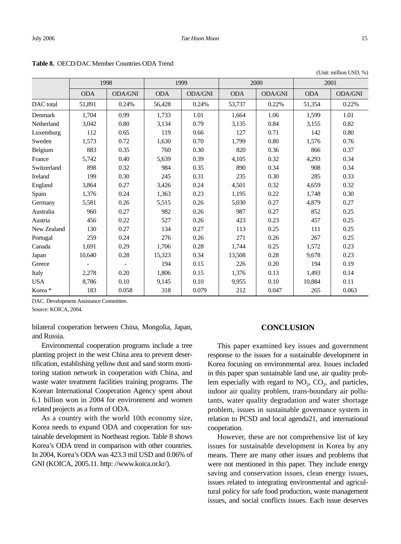|                    | 1998       |                | 1999       |         | 2000       |         | 2001       |                |
|--------------------|------------|----------------|------------|---------|------------|---------|------------|----------------|
|                    | <b>ODA</b> | <b>ODA/GNI</b> | <b>ODA</b> | ODA/GNI | <b>ODA</b> | ODA/GNI | <b>ODA</b> | <b>ODA/GNI</b> |
| DAC total          | 51,891     | 0.24%          | 56,428     | 0.24%   | 53,737     | 0.22%   | 51,354     | 0.22%          |
| Denmark            | 1,704      | 0.99           | 1,733      | 1.01    | 1,664      | 1.06    | 1,599      | 1.01           |
| Netherland         | 3,042      | 0.80           | 3,134      | 0.79    | 3,135      | 0.84    | 3,155      | 0.82           |
| Luxemburg          | 112        | 0.65           | 119        | 0.66    | 127        | 0.71    | 142        | 0.80           |
| Sweden             | 1,573      | 0.72           | 1,630      | 0.70    | 1,799      | 0.80    | 1,576      | 0.76           |
| Belgium            | 883        | 0.35           | 760        | 0.30    | 820        | 0.36    | 866        | 0.37           |
| France             | 5,742      | 0.40           | 5,639      | 0.39    | 4,105      | 0.32    | 4,293      | 0.34           |
| Switzerland        | 898        | 0.32           | 984        | 0.35    | 890        | 0.34    | 908        | 0.34           |
| Ireland            | 199        | 0.30           | 245        | 0.31    | 235        | 0.30    | 285        | 0.33           |
| England            | 3,864      | 0.27           | 3,426      | 0.24    | 4,501      | 0.32    | 4,659      | 0.32           |
| Spain              | 1,376      | 0.24           | 1,363      | 0.23    | 1,195      | 0.22    | 1,748      | 0.30           |
| Germany            | 5,581      | 0.26           | 5,515      | 0.26    | 5,030      | 0.27    | 4,879      | 0.27           |
| Australia          | 960        | 0.27           | 982        | 0.26    | 987        | 0.27    | 852        | 0.25           |
| Austria            | 456        | 0.22           | 527        | 0.26    | 423        | 0.23    | 457        | 0.25           |
| New Zealand        | 130        | 0.27           | 134        | 0.27    | 113        | 0.25    | 111        | 0.25           |
| Portugal           | 259        | 0.24           | 276        | 0.26    | 271        | 0.26    | 267        | 0.25           |
| Canada             | 1,691      | 0.29           | 1,706      | 0.28    | 1,744      | 0.25    | 1,572      | 0.23           |
| Japan              | 10,640     | 0.28           | 15,323     | 0.34    | 13,508     | 0.28    | 9,678      | 0.23           |
| Greece             |            |                | 194        | 0.15    | 226        | 0.20    | 194        | 0.19           |
| Italy              | 2,278      | 0.20           | 1,806      | 0.15    | 1,376      | 0.13    | 1,493      | 0.14           |
| <b>USA</b>         | 8,786      | 0.10           | 9,145      | 0.10    | 9,955      | 0.10    | 10,884     | 0.11           |
| Korea <sup>*</sup> | 183        | 0.058          | 318        | 0.079   | 212        | 0.047   | 265        | 0.063          |

**Table 8.** OECD/DAC Member Countries ODA Trend

DAC. Development Assistance Committee.

Source: KOICA, 2004.

bilateral cooperation between China, Mongolia, Japan, and Russia.

Environmental cooperation programs include a tree planting project in the west China area to prevent desertification, establishing yellow dust and sand storm monitoring station network in cooperation with China, and waste water treatment facilities training programs. The Korean International Cooperation Agency spent about 6.1 billion won in 2004 for environment and women related projects as a form of ODA.

As a country with the world 10th economy size, Korea needs to expand ODA and cooperation for sustainable development in Northeast region. Table 8 shows Korea's ODA trend in comparison with other countries. In 2004, Korea's ODA was 423.3 mil USD and 0.06% of GNI (KOICA, 2005.11. http: //www.koica.or.kr/).

#### **CONCLUSION**

This paper examined key issues and government response to the issues for a sustainable development in Korea focusing on environmental area. Issues included in this paper span sustainable land use, air quality problem especially with regard to  $NO<sub>2</sub>$ ,  $CO<sub>2</sub>$ , and particles, indoor air quality problem, trans-boundary air pollutants, water quality degradation and water shortage problem, issues in sustainable governance system in relation to PCSD and local agenda21, and international cooperation.

However, these are not comprehensive list of key issues for sustainable development in Korea by any means. There are many other issues and problems that were not mentioned in this paper. They include energy saving and conservation issues, clean energy issues, issues related to integrating environmental and agricultural policy for safe food production, waste management issues, and social conflicts issues. Each issue deserves

(Unit: million USD, %)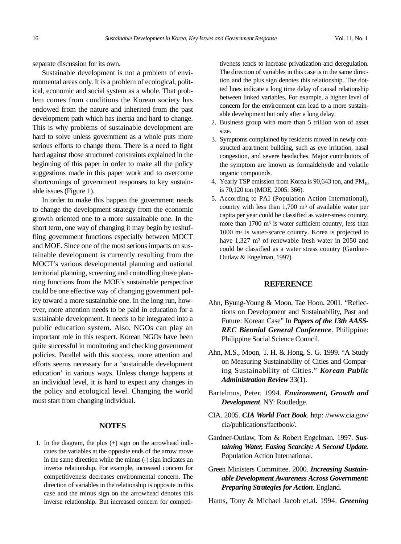separate discussion for its own.

Sustainable development is not a problem of environmental areas only. It is a problem of ecological, political, economic and social system as a whole. That problem comes from conditions the Korean society has endowed from the nature and inherited from the past development path which has inertia and hard to change. This is why problems of sustainable development are hard to solve unless government as a whole puts more serious efforts to change them. There is a need to fight hard against those structured constraints explained in the beginning of this paper in order to make all the policy suggestions made in this paper work and to overcome shortcomings of government responses to key sustainable issues (Figure 1).

In order to make this happen the government needs to change the development strategy from the economic growth oriented one to a more sustainable one. In the short term, one way of changing it may begin by reshuffling government functions especially between MOCT and MOE. Since one of the most serious impacts on sustainable development is currently resulting from the MOCT's various developmental planning and national territorial planning, screening and controlling these planning functions from the MOE's sustainable perspective could be one effective way of changing government policy toward a more sustainable one. In the long run, however, more attention needs to be paid in education for a sustainable development. It needs to be integrated into a public education system. Also, NGOs can play an important role in this respect. Korean NGOs have been quite successful in monitoring and checking government policies. Parallel with this success, more attention and efforts seems necessary for a 'sustainable development education' in various ways. Unless change happens at an individual level, it is hard to expect any changes in the policy and ecological level. Changing the world must start from changing individual.

## **NOTES**

1. In the diagram, the plus (+) sign on the arrowhead indicates the variables at the opposite ends of the arrow move in the same direction while the minus (-) sign indicates an inverse relationship. For example, increased concern for competitiveness decreases environmental concern. The direction of variables in the relationship is opposite in this case and the minus sign on the arrowhead denotes this inverse relationship. But increased concern for competitiveness tends to increase privatization and deregulation. The direction of variables in this case is in the same direction and the plus sign denotes this relationship. The dotted lines indicate a long time delay of causal relationship between linked variables. For example, a higher level of concern for the environment can lead to a more sustainable development but only after a long delay.

- 2. Business group with more than 5 trillion won of asset size.
- 3. Symptoms complained by residents moved in newly constructed apartment building, such as eye irritation, nasal congestion, and severe headaches. Major contributors of the symptom are known as formaldehyde and volatile organic compounds.
- 4. Yearly TSP emission from Korea is 90,643 ton, and  $PM_{10}$ is 70,120 ton (MOE, 2005: 366).
- 5. According to PAI (Population Action International), country with less than 1,700 m3 of available water per capita per year could be classified as water-stress country, more than 1700 m<sup>3</sup> is water sufficient country, less than 1000 m3 is water-scarce country. Korea is projected to have 1,327 m<sup>3</sup> of renewable fresh water in 2050 and could be classified as a water stress country (Gardner-Outlaw & Engelman, 1997).

# **REFERENCE**

- Ahn, Byung-Young & Moon, Tae Hoon. 2001. "Reflections on Development and Sustainability, Past and Future: Korean Case" In *Papers of the 13th AASS-REC Biennial General Conference*. Philippine: Philippine Social Science Council.
- Ahn, M.S., Moon, T. H. & Hong, S. G. 1999. "A Study on Measuring Sustainability of Cities and Comparing Sustainability of Cities." *Korean Public Administration Review* 33(1).
- Bartelmus, Peter. 1994. *Environment, Growth and Development*. NY: Routledge.
- CIA. 2005. *CIA World Fact Book*. http: //www.cia.gov/ cia/publications/factbook/.
- Gardner-Outlaw, Tom & Robert Engelman. 1997. *Sustaining Water, Easing Scarcity: A Second Update*. Population Action International.
- Green Ministers Committee. 2000. *Increasing Sustainable Development Awareness Across Government: Preparing Strategies for Action*. England.
- Hams, Tony & Michael Jacob et.al. 1994. *Greening*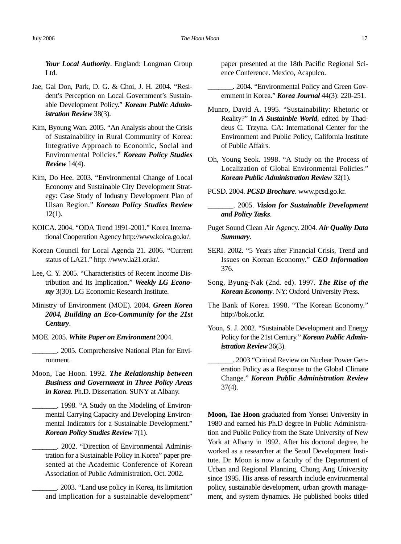*Your Local Authority*. England: Longman Group Ltd.

- Jae, Gal Don, Park, D. G. & Choi, J. H. 2004. "Resident's Perception on Local Government's Sustainable Development Policy." *Korean Public Administration Review* 38(3).
- Kim, Byoung Wan. 2005. "An Analysis about the Crisis of Sustainability in Rural Community of Korea: Integrative Approach to Economic, Social and Environmental Policies." *Korean Policy Studies Review* 14(4).
- Kim, Do Hee. 2003. "Environmental Change of Local Economy and Sustainable City Development Strategy: Case Study of Industry Development Plan of Ulsan Region." *Korean Policy Studies Review* 12(1).
- KOICA. 2004. "ODA Trend 1991-2001." Korea International Cooperation Agency http://www.koica.go.kr/.
- Korean Council for Local Agenda 21. 2006. "Current status of LA21." http: //www.la21.or.kr/.
- Lee, C. Y. 2005. "Characteristics of Recent Income Distribution and Its Implication." *Weekly LG Economy* 3(30). LG Economic Research Institute.
- Ministry of Environment (MOE). 2004. *Green Korea 2004, Building an Eco-Community for the 21st Century*.
- MOE. 2005. *White Paper on Environment* 2004.

\_\_\_\_\_\_\_. 2005. Comprehensive National Plan for Environment.

Moon, Tae Hoon. 1992. *The Relationship between Business and Government in Three Policy Areas in Korea*. Ph.D. Dissertation. SUNY at Albany.

\_\_\_\_\_\_\_. 1998. "A Study on the Modeling of Environmental Carrying Capacity and Developing Environmental Indicators for a Sustainable Development." *Korean Policy Studies Review* 7(1).

\_\_\_\_\_\_\_. 2002. "Direction of Environmental Administration for a Sustainable Policy in Korea" paper presented at the Academic Conference of Korean Association of Public Administration. Oct. 2002.

\_\_\_\_\_\_\_. 2003. "Land use policy in Korea, its limitation and implication for a sustainable development"

paper presented at the 18th Pacific Regional Science Conference. Mexico, Acapulco.

\_\_\_\_\_\_\_. 2004. "Environmental Policy and Green Government in Korea." *Korea Journal* 44(3): 220-251.

- Munro, David A. 1995. "Sustainability: Rhetoric or Reality?" In *A Sustainble World*, edited by Thaddeus C. Trzyna. CA: International Center for the Environment and Public Policy, California Institute of Public Affairs.
- Oh, Young Seok. 1998. "A Study on the Process of Localization of Global Environmental Policies." *Korean Public Administration Review* 32(1).
- PCSD. 2004. *PCSD Brochure*. www.pcsd.go.kr.

\_\_\_\_\_\_\_. 2005. *Vision for Sustainable Development and Policy Tasks*.

- Puget Sound Clean Air Agency. 2004. *Air Quality Data Summary*.
- SERI. 2002. "5 Years after Financial Crisis, Trend and Issues on Korean Economy." *CEO Information* 376.
- Song, Byung-Nak (2nd. ed). 1997. *The Rise of the Korean Economy*. NY: Oxford University Press.
- The Bank of Korea. 1998. "The Korean Economy." http://bok.or.kr.
- Yoon, S. J. 2002. "Sustainable Development and Energy Policy for the 21st Century." *Korean Public Administration Review* 36(3).
- \_\_\_\_\_\_\_. 2003 "Critical Review on Nuclear Power Generation Policy as a Response to the Global Climate Change." *Korean Public Administration Review* 37(4).

**Moon, Tae Hoon** graduated from Yonsei University in 1980 and earned his Ph.D degree in Public Administration and Public Policy from the State University of New York at Albany in 1992. After his doctoral degree, he worked as a researcher at the Seoul Development Institute. Dr. Moon is now a faculty of the Department of Urban and Regional Planning, Chung Ang University since 1995. His areas of research include environmental policy, sustainable development, urban growth management, and system dynamics. He published books titled